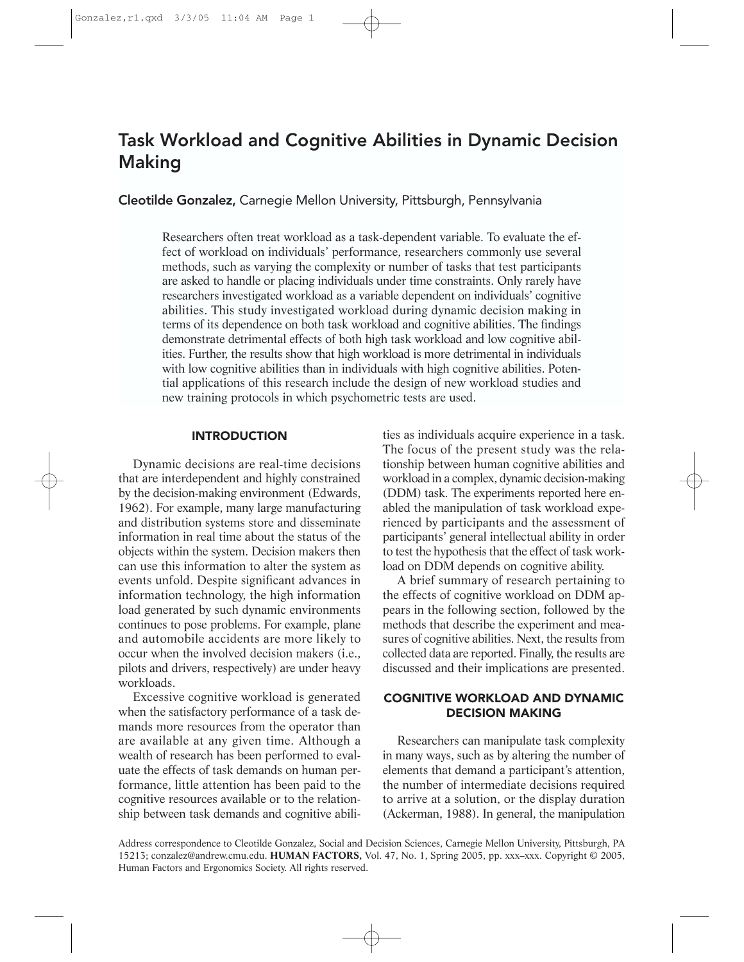# Task Workload and Cognitive Abilities in Dynamic Decision Making

Cleotilde Gonzalez, Carnegie Mellon University, Pittsburgh, Pennsylvania

Researchers often treat workload as a task-dependent variable. To evaluate the effect of workload on individuals' performance, researchers commonly use several methods, such as varying the complexity or number of tasks that test participants are asked to handle or placing individuals under time constraints. Only rarely have researchers investigated workload as a variable dependent on individuals' cognitive abilities. This study investigated workload during dynamic decision making in terms of its dependence on both task workload and cognitive abilities. The findings demonstrate detrimental effects of both high task workload and low cognitive abilities. Further, the results show that high workload is more detrimental in individuals with low cognitive abilities than in individuals with high cognitive abilities. Potential applications of this research include the design of new workload studies and new training protocols in which psychometric tests are used.

### INTRODUCTION

Dynamic decisions are real-time decisions that are interdependent and highly constrained by the decision-making environment (Edwards, 1962). For example, many large manufacturing and distribution systems store and disseminate information in real time about the status of the objects within the system. Decision makers then can use this information to alter the system as events unfold. Despite significant advances in information technology, the high information load generated by such dynamic environments continues to pose problems. For example, plane and automobile accidents are more likely to occur when the involved decision makers (i.e., pilots and drivers, respectively) are under heavy workloads.

Excessive cognitive workload is generated when the satisfactory performance of a task demands more resources from the operator than are available at any given time. Although a wealth of research has been performed to evaluate the effects of task demands on human performance, little attention has been paid to the cognitive resources available or to the relationship between task demands and cognitive abilities as individuals acquire experience in a task. The focus of the present study was the relationship between human cognitive abilities and workload in a complex, dynamic decision-making (DDM) task. The experiments reported here enabled the manipulation of task workload experienced by participants and the assessment of participants' general intellectual ability in order to test the hypothesis that the effect of task workload on DDM depends on cognitive ability.

A brief summary of research pertaining to the effects of cognitive workload on DDM appears in the following section, followed by the methods that describe the experiment and measures of cognitive abilities. Next, the results from collected data are reported. Finally, the results are discussed and their implications are presented.

# COGNITIVE WORKLOAD AND DYNAMIC DECISION MAKING

Researchers can manipulate task complexity in many ways, such as by altering the number of elements that demand a participant's attention, the number of intermediate decisions required to arrive at a solution, or the display duration (Ackerman, 1988). In general, the manipulation

Address correspondence to Cleotilde Gonzalez, Social and Decision Sciences, Carnegie Mellon University, Pittsburgh, PA 15213; conzalez@andrew.cmu.edu. **HUMAN FACTORS,** Vol. 47, No. 1, Spring 2005, pp. xxx–xxx. Copyright © 2005, Human Factors and Ergonomics Society. All rights reserved.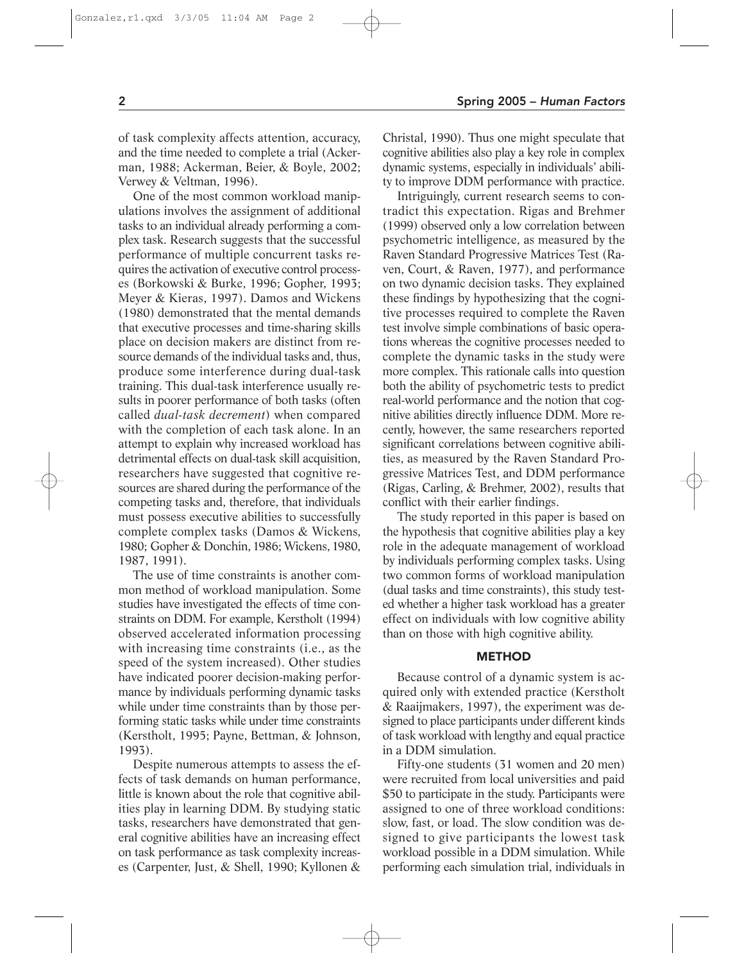of task complexity affects attention, accuracy, and the time needed to complete a trial (Ackerman, 1988; Ackerman, Beier, & Boyle, 2002; Verwey & Veltman, 1996).

One of the most common workload manipulations involves the assignment of additional tasks to an individual already performing a complex task. Research suggests that the successful performance of multiple concurrent tasks requires the activation of executive control processes (Borkowski & Burke, 1996; Gopher, 1993; Meyer & Kieras, 1997). Damos and Wickens (1980) demonstrated that the mental demands that executive processes and time-sharing skills place on decision makers are distinct from resource demands of the individual tasks and, thus, produce some interference during dual-task training. This dual-task interference usually results in poorer performance of both tasks (often called *dual-task decrement*) when compared with the completion of each task alone. In an attempt to explain why increased workload has detrimental effects on dual-task skill acquisition, researchers have suggested that cognitive resources are shared during the performance of the competing tasks and, therefore, that individuals must possess executive abilities to successfully complete complex tasks (Damos & Wickens, 1980; Gopher & Donchin,1986; Wickens,1980, 1987, 1991).

The use of time constraints is another common method of workload manipulation. Some studies have investigated the effects of time constraints on DDM. For example, Kerstholt (1994) observed accelerated information processing with increasing time constraints (i.e., as the speed of the system increased). Other studies have indicated poorer decision-making performance by individuals performing dynamic tasks while under time constraints than by those performing static tasks while under time constraints (Kerstholt, 1995; Payne, Bettman, & Johnson, 1993).

Despite numerous attempts to assess the effects of task demands on human performance, little is known about the role that cognitive abilities play in learning DDM. By studying static tasks, researchers have demonstrated that general cognitive abilities have an increasing effect on task performance as task complexity increases (Carpenter, Just, & Shell, 1990; Kyllonen & Christal, 1990). Thus one might speculate that cognitive abilities also play a key role in complex dynamic systems, especially in individuals' ability to improve DDM performance with practice.

Intriguingly, current research seems to contradict this expectation. Rigas and Brehmer (1999) observed only a low correlation between psychometric intelligence, as measured by the Raven Standard Progressive Matrices Test (Raven, Court, & Raven, 1977), and performance on two dynamic decision tasks. They explained these findings by hypothesizing that the cognitive processes required to complete the Raven test involve simple combinations of basic operations whereas the cognitive processes needed to complete the dynamic tasks in the study were more complex. This rationale calls into question both the ability of psychometric tests to predict real-world performance and the notion that cognitive abilities directly influence DDM. More recently, however, the same researchers reported significant correlations between cognitive abilities, as measured by the Raven Standard Progressive Matrices Test, and DDM performance (Rigas, Carling, & Brehmer, 2002), results that conflict with their earlier findings.

The study reported in this paper is based on the hypothesis that cognitive abilities play a key role in the adequate management of workload by individuals performing complex tasks. Using two common forms of workload manipulation (dual tasks and time constraints), this study tested whether a higher task workload has a greater effect on individuals with low cognitive ability than on those with high cognitive ability.

#### **METHOD**

Because control of a dynamic system is acquired only with extended practice (Kerstholt & Raaijmakers, 1997), the experiment was designed to place participants under different kinds of task workload with lengthy and equal practice in a DDM simulation.

Fifty-one students (31 women and 20 men) were recruited from local universities and paid \$50 to participate in the study. Participants were assigned to one of three workload conditions: slow, fast, or load. The slow condition was designed to give participants the lowest task workload possible in a DDM simulation. While performing each simulation trial, individuals in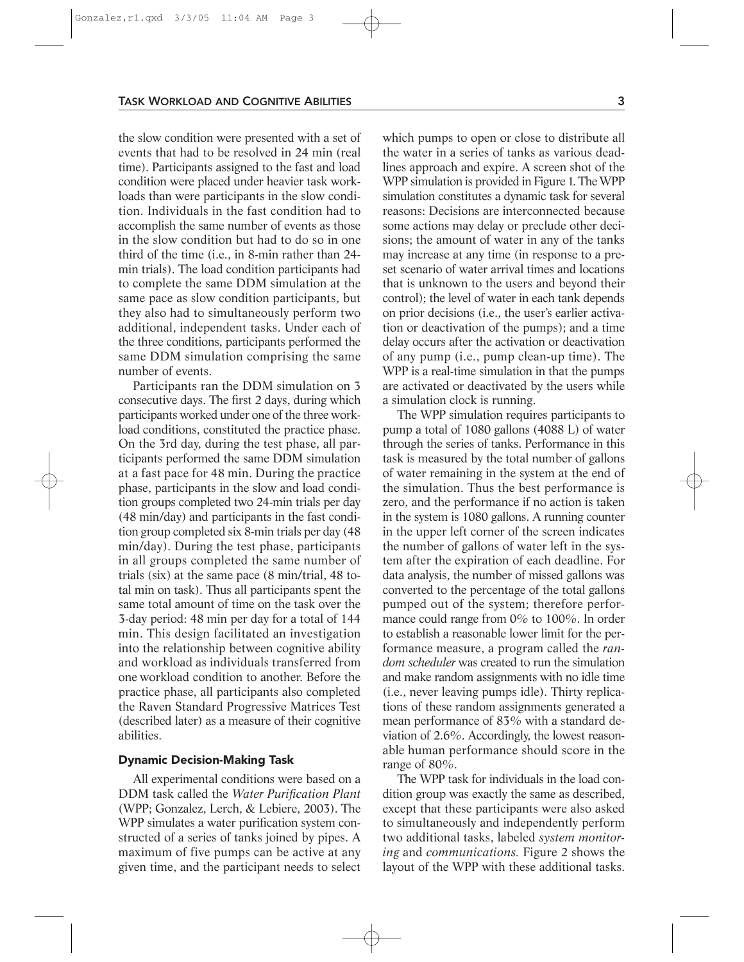#### TASK WORKLOAD AND COGNITIVE ABILITIES 3

the slow condition were presented with a set of events that had to be resolved in 24 min (real time). Participants assigned to the fast and load condition were placed under heavier task workloads than were participants in the slow condition. Individuals in the fast condition had to accomplish the same number of events as those in the slow condition but had to do so in one third of the time (i.e., in 8-min rather than 24 min trials). The load condition participants had to complete the same DDM simulation at the same pace as slow condition participants, but they also had to simultaneously perform two additional, independent tasks. Under each of the three conditions, participants performed the same DDM simulation comprising the same number of events.

Participants ran the DDM simulation on 3 consecutive days. The first 2 days, during which participants worked under one of the three workload conditions, constituted the practice phase. On the 3rd day, during the test phase, all participants performed the same DDM simulation at a fast pace for 48 min. During the practice phase, participants in the slow and load condition groups completed two 24-min trials per day (48 min/day) and participants in the fast condition group completed six 8-min trials per day (48 min/day). During the test phase, participants in all groups completed the same number of trials (six) at the same pace (8 min/trial, 48 total min on task). Thus all participants spent the same total amount of time on the task over the 3-day period: 48 min per day for a total of 144 min. This design facilitated an investigation into the relationship between cognitive ability and workload as individuals transferred from one workload condition to another. Before the practice phase, all participants also completed the Raven Standard Progressive Matrices Test (described later) as a measure of their cognitive abilities.

# Dynamic Decision-Making Task

All experimental conditions were based on a DDM task called the *Water Purification Plant* (WPP; Gonzalez, Lerch, & Lebiere, 2003). The WPP simulates a water purification system constructed of a series of tanks joined by pipes. A maximum of five pumps can be active at any given time, and the participant needs to select which pumps to open or close to distribute all the water in a series of tanks as various deadlines approach and expire. A screen shot of the WPP simulation is provided in Figure 1. The WPP simulation constitutes a dynamic task for several reasons: Decisions are interconnected because some actions may delay or preclude other decisions; the amount of water in any of the tanks may increase at any time (in response to a preset scenario of water arrival times and locations that is unknown to the users and beyond their control); the level of water in each tank depends on prior decisions (i.e., the user's earlier activation or deactivation of the pumps); and a time delay occurs after the activation or deactivation of any pump (i.e., pump clean-up time). The WPP is a real-time simulation in that the pumps are activated or deactivated by the users while a simulation clock is running.

The WPP simulation requires participants to pump a total of 1080 gallons (4088 L) of water through the series of tanks. Performance in this task is measured by the total number of gallons of water remaining in the system at the end of the simulation. Thus the best performance is zero, and the performance if no action is taken in the system is 1080 gallons. A running counter in the upper left corner of the screen indicates the number of gallons of water left in the system after the expiration of each deadline. For data analysis, the number of missed gallons was converted to the percentage of the total gallons pumped out of the system; therefore performance could range from 0% to 100%. In order to establish a reasonable lower limit for the performance measure, a program called the *random scheduler* was created to run the simulation and make random assignments with no idle time (i.e., never leaving pumps idle). Thirty replications of these random assignments generated a mean performance of 83% with a standard deviation of 2.6%. Accordingly, the lowest reasonable human performance should score in the range of 80%.

The WPP task for individuals in the load condition group was exactly the same as described, except that these participants were also asked to simultaneously and independently perform two additional tasks, labeled *system monitoring* and *communications.* Figure 2 shows the layout of the WPP with these additional tasks.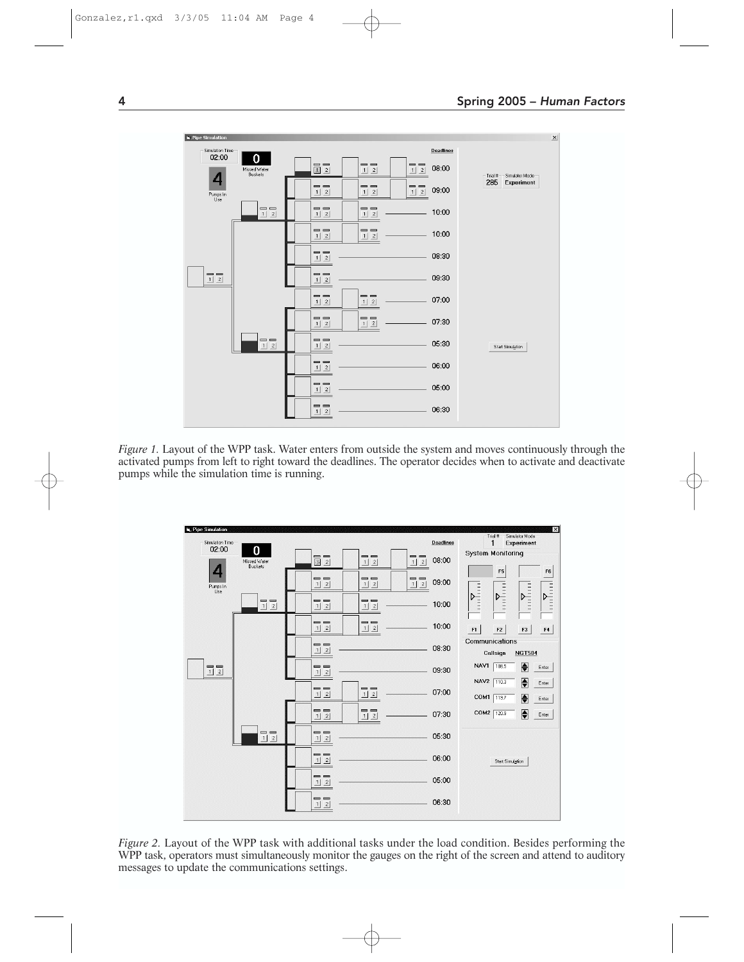



*Figure 1.* Layout of the WPP task. Water enters from outside the system and moves continuously through the activated pumps from left to right toward the deadlines. The operator decides when to activate and deactivate pumps while the simulation time is running.



*Figure 2.* Layout of the WPP task with additional tasks under the load condition. Besides performing the WPP task, operators must simultaneously monitor the gauges on the right of the screen and attend to auditory messages to update the communications settings.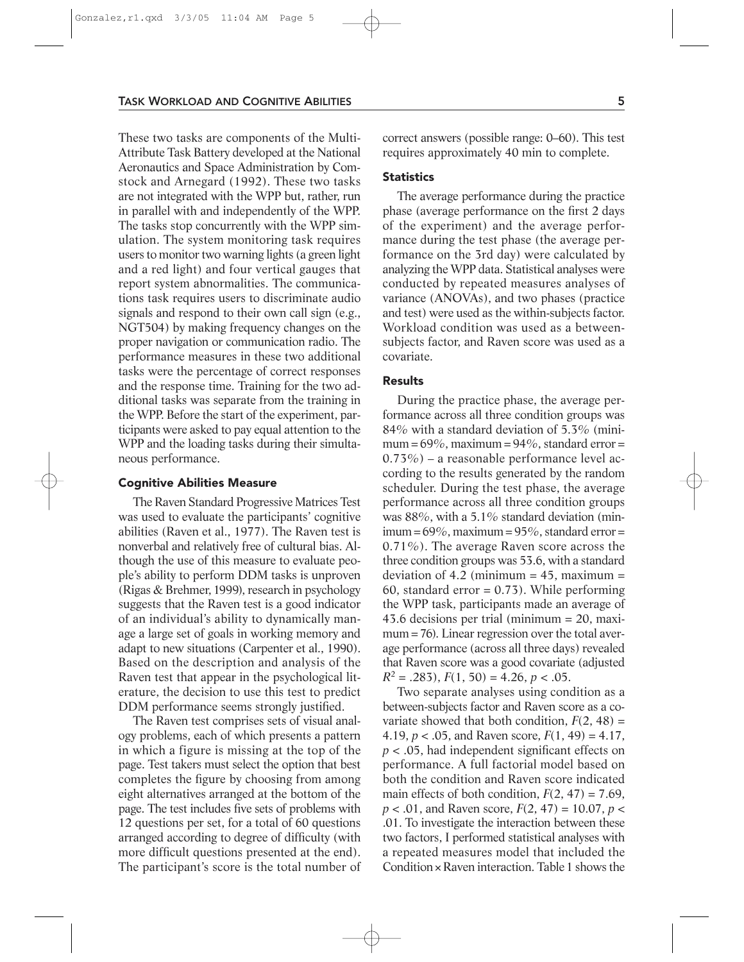#### TASK WORKLOAD AND COGNITIVE ABILITIES 5

These two tasks are components of the Multi-Attribute Task Battery developed at the National Aeronautics and Space Administration by Comstock and Arnegard (1992). These two tasks are not integrated with the WPP but, rather, run in parallel with and independently of the WPP. The tasks stop concurrently with the WPP simulation. The system monitoring task requires users to monitor two warning lights (a green light and a red light) and four vertical gauges that report system abnormalities. The communications task requires users to discriminate audio signals and respond to their own call sign (e.g., NGT504) by making frequency changes on the proper navigation or communication radio. The performance measures in these two additional tasks were the percentage of correct responses and the response time. Training for the two additional tasks was separate from the training in the WPP. Before the start of the experiment, participants were asked to pay equal attention to the WPP and the loading tasks during their simultaneous performance.

### Cognitive Abilities Measure

The Raven Standard Progressive Matrices Test was used to evaluate the participants' cognitive abilities (Raven et al., 1977). The Raven test is nonverbal and relatively free of cultural bias. Although the use of this measure to evaluate people's ability to perform DDM tasks is unproven (Rigas & Brehmer,1999), research in psychology suggests that the Raven test is a good indicator of an individual's ability to dynamically manage a large set of goals in working memory and adapt to new situations (Carpenter et al., 1990). Based on the description and analysis of the Raven test that appear in the psychological literature, the decision to use this test to predict DDM performance seems strongly justified.

The Raven test comprises sets of visual analogy problems, each of which presents a pattern in which a figure is missing at the top of the page. Test takers must select the option that best completes the figure by choosing from among eight alternatives arranged at the bottom of the page. The test includes five sets of problems with 12 questions per set, for a total of 60 questions arranged according to degree of difficulty (with more difficult questions presented at the end). The participant's score is the total number of correct answers (possible range: 0–60). This test requires approximately 40 min to complete.

# **Statistics**

The average performance during the practice phase (average performance on the first 2 days of the experiment) and the average performance during the test phase (the average performance on the 3rd day) were calculated by analyzing the WPP data. Statistical analyses were conducted by repeated measures analyses of variance (ANOVAs), and two phases (practice and test) were used as the within-subjects factor. Workload condition was used as a betweensubjects factor, and Raven score was used as a covariate.

## Results

During the practice phase, the average performance across all three condition groups was 84% with a standard deviation of 5.3% (minimum =  $69\%$ , maximum =  $94\%$ , standard error = 0.73%) – a reasonable performance level according to the results generated by the random scheduler. During the test phase, the average performance across all three condition groups was 88%, with a 5.1% standard deviation (minimum =  $69\%$ , maximum =  $95\%$ , standard error = 0.71%). The average Raven score across the three condition groups was 53.6, with a standard deviation of 4.2 (minimum =  $45$ , maximum = 60, standard error  $= 0.73$ ). While performing the WPP task, participants made an average of 43.6 decisions per trial (minimum = 20, maximum = 76). Linear regression over the total average performance (across all three days) revealed that Raven score was a good covariate (adjusted  $R^2 = .283$ ,  $F(1, 50) = 4.26$ ,  $p < .05$ .

Two separate analyses using condition as a between-subjects factor and Raven score as a covariate showed that both condition,  $F(2, 48) =$ 4.19,  $p < .05$ , and Raven score,  $F(1, 49) = 4.17$ , *p* < .05, had independent significant effects on performance. A full factorial model based on both the condition and Raven score indicated main effects of both condition,  $F(2, 47) = 7.69$ , *p* < .01, and Raven score, *F*(2, 47) = 10.07, *p* < .01. To investigate the interaction between these two factors, I performed statistical analyses with a repeated measures model that included the Condition  $\times$  Raven interaction. Table 1 shows the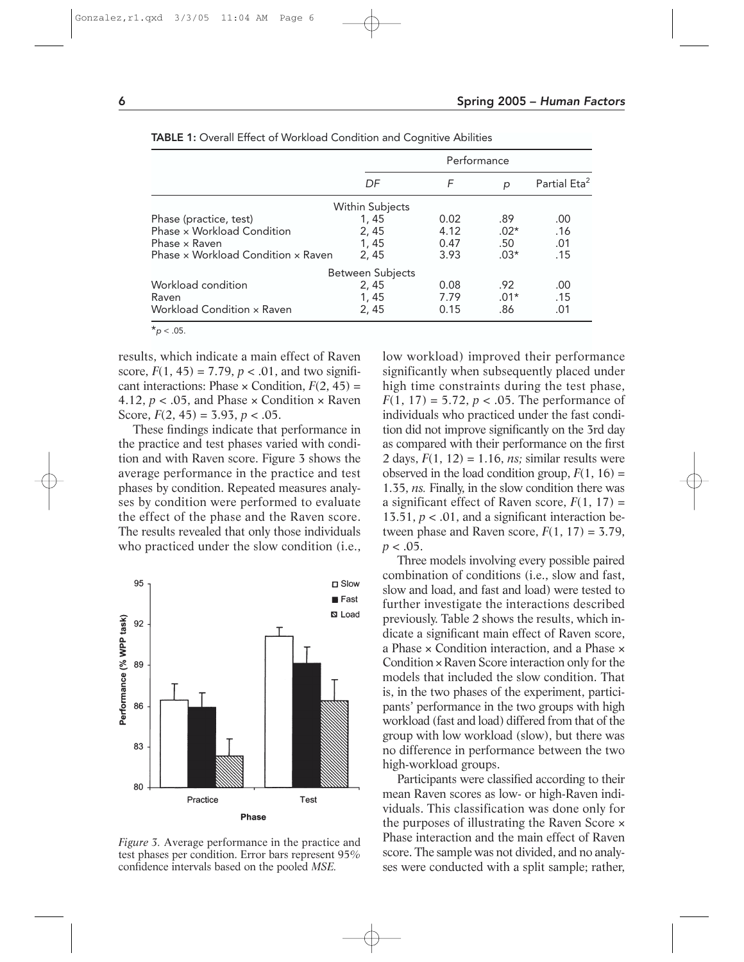|                                    |       | Performance |        |                          |  |  |  |  |  |  |  |
|------------------------------------|-------|-------------|--------|--------------------------|--|--|--|--|--|--|--|
|                                    | DF    | F           | p      | Partial Eta <sup>2</sup> |  |  |  |  |  |  |  |
| Within Subjects                    |       |             |        |                          |  |  |  |  |  |  |  |
| Phase (practice, test)             | 1, 45 | 0.02        | .89    | .00                      |  |  |  |  |  |  |  |
| Phase x Workload Condition         | 2.45  | 4.12        | $.02*$ | .16                      |  |  |  |  |  |  |  |
| Phase x Raven                      | 1, 45 | 0.47        | .50    | .01                      |  |  |  |  |  |  |  |
| Phase x Workload Condition x Raven | 2.45  | 3.93        | $.03*$ | .15                      |  |  |  |  |  |  |  |
| Between Subjects                   |       |             |        |                          |  |  |  |  |  |  |  |
| Workload condition                 | 2, 45 | 0.08        | .92    | .00                      |  |  |  |  |  |  |  |
| Raven                              | 1, 45 | 7.79        | $.01*$ | .15                      |  |  |  |  |  |  |  |
| Workload Condition x Raven         | 2.45  | 0.15        | .86    | .01                      |  |  |  |  |  |  |  |
| $*_{\rho}$ < .05.                  |       |             |        |                          |  |  |  |  |  |  |  |

TABLE 1: Overall Effect of Workload Condition and Cognitive Abilities

results, which indicate a main effect of Raven score,  $F(1, 45) = 7.79$ ,  $p < .01$ , and two significant interactions: Phase  $\times$  Condition,  $F(2, 45) =$ 4.12,  $p < 0.05$ , and Phase  $\times$  Condition  $\times$  Raven Score,  $F(2, 45) = 3.93$ ,  $p < .05$ .

These findings indicate that performance in the practice and test phases varied with condition and with Raven score. Figure 3 shows the average performance in the practice and test phases by condition. Repeated measures analyses by condition were performed to evaluate the effect of the phase and the Raven score. The results revealed that only those individuals who practiced under the slow condition (i.e.,



*Figure 3.* Average performance in the practice and test phases per condition. Error bars represent 95% confidence intervals based on the pooled *MSE.*

low workload) improved their performance significantly when subsequently placed under high time constraints during the test phase,  $F(1, 17) = 5.72, p < .05$ . The performance of individuals who practiced under the fast condition did not improve significantly on the 3rd day as compared with their performance on the first 2 days,  $F(1, 12) = 1.16$ , *ns*; similar results were observed in the load condition group,  $F(1, 16) =$ 1.35, *ns.* Finally, in the slow condition there was a significant effect of Raven score,  $F(1, 17) =$ 13.51,  $p < .01$ , and a significant interaction between phase and Raven score,  $F(1, 17) = 3.79$ ,  $p < .05$ .

Three models involving every possible paired combination of conditions (i.e., slow and fast, slow and load, and fast and load) were tested to further investigate the interactions described previously. Table 2 shows the results, which indicate a significant main effect of Raven score, a Phase × Condition interaction, and a Phase × Condition × Raven Score interaction only for the models that included the slow condition. That is, in the two phases of the experiment, participants' performance in the two groups with high workload (fast and load) differed from that of the group with low workload (slow), but there was no difference in performance between the two high-workload groups.

Participants were classified according to their mean Raven scores as low- or high-Raven individuals. This classification was done only for the purposes of illustrating the Raven Score × Phase interaction and the main effect of Raven score. The sample was not divided, and no analyses were conducted with a split sample; rather,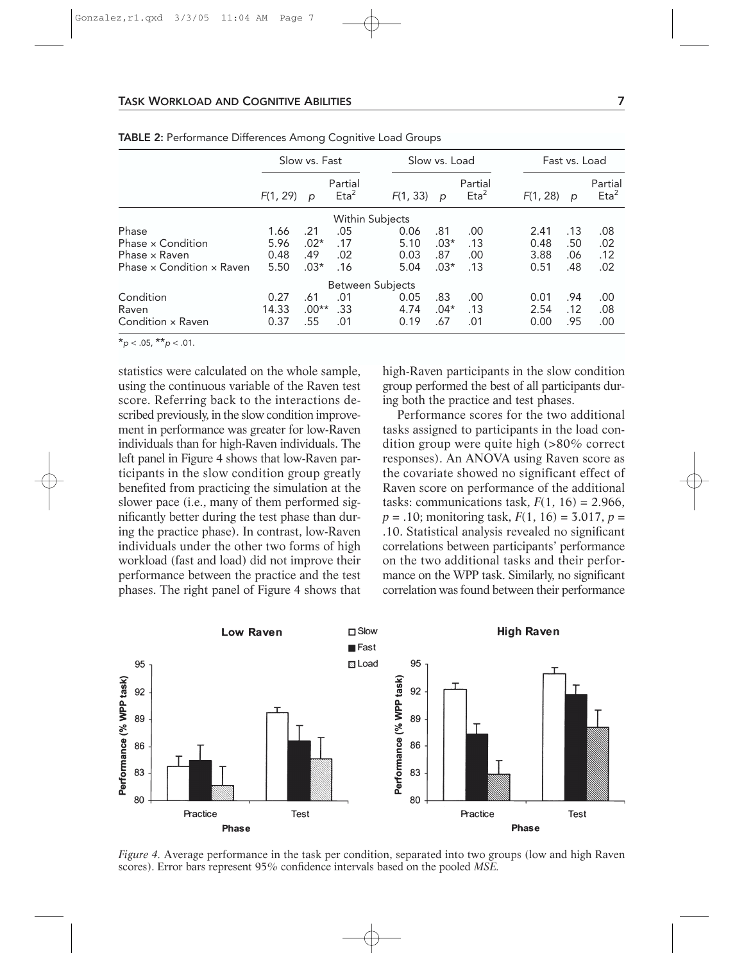# TASK WORKLOAD AND COGNITIVE ABILITIES **7** 7

|                                         | Slow vs. Fast |         | Slow vs. Load                  |          |        |                                | Fast vs. Load |     |                                |  |  |
|-----------------------------------------|---------------|---------|--------------------------------|----------|--------|--------------------------------|---------------|-----|--------------------------------|--|--|
|                                         | F(1, 29)      | p       | Partial<br>$E$ ta <sup>2</sup> | F(1, 33) | p      | Partial<br>$E$ ta <sup>2</sup> | F(1, 28)      | p   | Partial<br>$E$ ta <sup>2</sup> |  |  |
| Within Subjects                         |               |         |                                |          |        |                                |               |     |                                |  |  |
| Phase                                   | 1.66          | .21     | .05                            | 0.06     | .81    | .00                            | 2.41          | .13 | .08                            |  |  |
| Phase x Condition                       | 5.96          | $.02*$  | .17                            | 5.10     | $.03*$ | .13                            | 0.48          | .50 | .02                            |  |  |
| Phase x Raven                           | 0.48          | .49     | .02                            | 0.03     | .87    | .00                            | 3.88          | .06 | .12                            |  |  |
| Phase $\times$ Condition $\times$ Raven | 5.50          | $.03*$  | .16                            | 5.04     | $.03*$ | .13                            | 0.51          | .48 | .02                            |  |  |
|                                         |               |         | Between Subjects               |          |        |                                |               |     |                                |  |  |
| Condition                               | 0.27          | .61     | .01                            | 0.05     | .83    | .00                            | 0.01          | .94 | .00                            |  |  |
| Raven                                   | 14.33         | $.00**$ | .33                            | 4.74     | $.04*$ | .13                            | 2.54          | .12 | .08                            |  |  |
| Condition × Raven                       | 0.37          | .55     | .01                            | 0.19     | .67    | .01                            | 0.00          | .95 | .00                            |  |  |

TABLE 2: Performance Differences Among Cognitive Load Groups

 $*_{p}$  < .05,  $*_{p}$  < .01.

statistics were calculated on the whole sample, using the continuous variable of the Raven test score. Referring back to the interactions described previously, in the slow condition improvement in performance was greater for low-Raven individuals than for high-Raven individuals. The left panel in Figure 4 shows that low-Raven participants in the slow condition group greatly benefited from practicing the simulation at the slower pace (i.e., many of them performed significantly better during the test phase than during the practice phase). In contrast, low-Raven individuals under the other two forms of high workload (fast and load) did not improve their performance between the practice and the test phases. The right panel of Figure 4 shows that high-Raven participants in the slow condition group performed the best of all participants during both the practice and test phases.

Performance scores for the two additional tasks assigned to participants in the load condition group were quite high (>80% correct responses). An ANOVA using Raven score as the covariate showed no significant effect of Raven score on performance of the additional tasks: communications task,  $F(1, 16) = 2.966$ , *p* = .10; monitoring task, *F*(1, 16) = 3.017, *p* = .10. Statistical analysis revealed no significant correlations between participants' performance on the two additional tasks and their performance on the WPP task. Similarly, no significant correlation was found between their performance



*Figure 4.* Average performance in the task per condition, separated into two groups (low and high Raven scores). Error bars represent 95% confidence intervals based on the pooled *MSE.*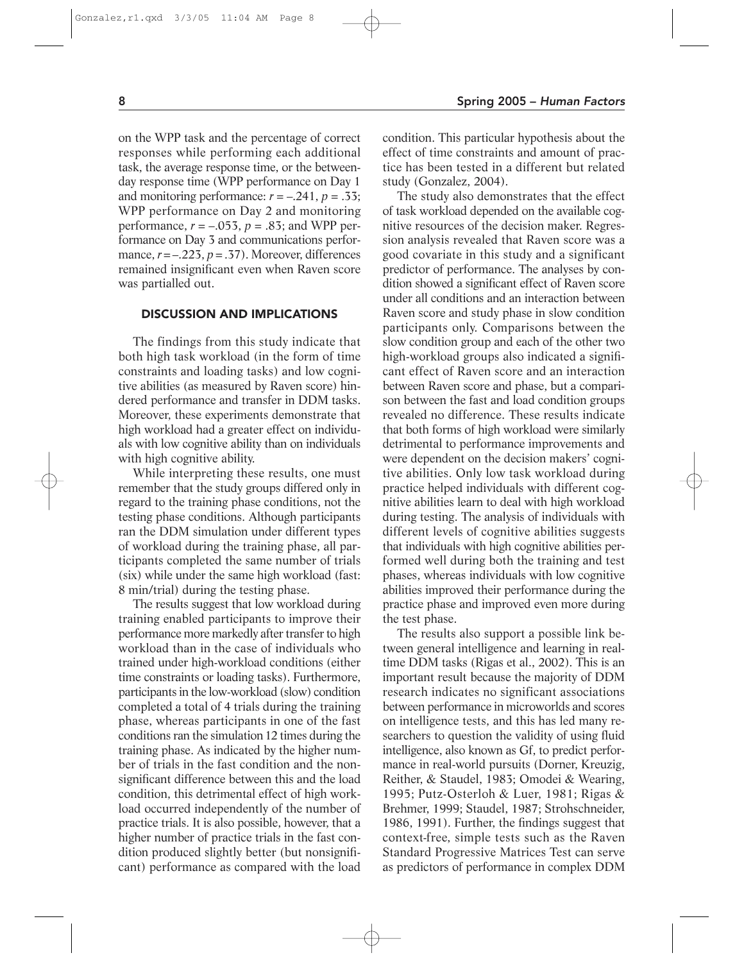on the WPP task and the percentage of correct responses while performing each additional task, the average response time, or the betweenday response time (WPP performance on Day 1 and monitoring performance:  $r = -.241$ ,  $p = .33$ ; WPP performance on Day 2 and monitoring performance,  $r = -.053$ ,  $p = .83$ ; and WPP performance on Day 3 and communications performance,  $r = -0.223$ ,  $p = 0.37$ . Moreover, differences remained insignificant even when Raven score was partialled out.

# DISCUSSION AND IMPLICATIONS

The findings from this study indicate that both high task workload (in the form of time constraints and loading tasks) and low cognitive abilities (as measured by Raven score) hindered performance and transfer in DDM tasks. Moreover, these experiments demonstrate that high workload had a greater effect on individuals with low cognitive ability than on individuals with high cognitive ability.

While interpreting these results, one must remember that the study groups differed only in regard to the training phase conditions, not the testing phase conditions. Although participants ran the DDM simulation under different types of workload during the training phase, all participants completed the same number of trials (six) while under the same high workload (fast: 8 min/trial) during the testing phase.

The results suggest that low workload during training enabled participants to improve their performance more markedly after transfer to high workload than in the case of individuals who trained under high-workload conditions (either time constraints or loading tasks). Furthermore, participants in the low-workload (slow) condition completed a total of 4 trials during the training phase, whereas participants in one of the fast conditions ran the simulation 12 times during the training phase. As indicated by the higher number of trials in the fast condition and the nonsignificant difference between this and the load condition, this detrimental effect of high workload occurred independently of the number of practice trials. It is also possible, however, that a higher number of practice trials in the fast condition produced slightly better (but nonsignificant) performance as compared with the load condition. This particular hypothesis about the effect of time constraints and amount of practice has been tested in a different but related study (Gonzalez, 2004).

The study also demonstrates that the effect of task workload depended on the available cognitive resources of the decision maker. Regression analysis revealed that Raven score was a good covariate in this study and a significant predictor of performance. The analyses by condition showed a significant effect of Raven score under all conditions and an interaction between Raven score and study phase in slow condition participants only. Comparisons between the slow condition group and each of the other two high-workload groups also indicated a significant effect of Raven score and an interaction between Raven score and phase, but a comparison between the fast and load condition groups revealed no difference. These results indicate that both forms of high workload were similarly detrimental to performance improvements and were dependent on the decision makers' cognitive abilities. Only low task workload during practice helped individuals with different cognitive abilities learn to deal with high workload during testing. The analysis of individuals with different levels of cognitive abilities suggests that individuals with high cognitive abilities performed well during both the training and test phases, whereas individuals with low cognitive abilities improved their performance during the practice phase and improved even more during the test phase.

The results also support a possible link between general intelligence and learning in realtime DDM tasks (Rigas et al., 2002). This is an important result because the majority of DDM research indicates no significant associations between performance in microworlds and scores on intelligence tests, and this has led many researchers to question the validity of using fluid intelligence, also known as Gf, to predict performance in real-world pursuits (Dorner, Kreuzig, Reither, & Staudel, 1983; Omodei & Wearing, 1995; Putz-Osterloh & Luer, 1981; Rigas & Brehmer, 1999; Staudel, 1987; Strohschneider, 1986, 1991). Further, the findings suggest that context-free, simple tests such as the Raven Standard Progressive Matrices Test can serve as predictors of performance in complex DDM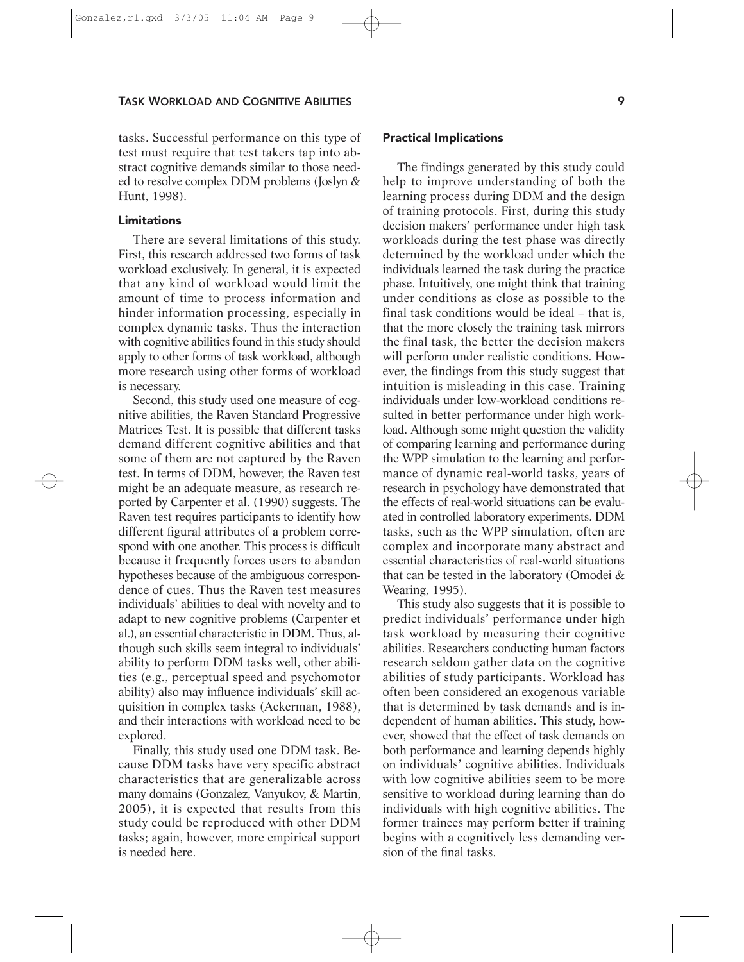### TASK WORKLOAD AND COGNITIVE ABILITIES 9

tasks. Successful performance on this type of test must require that test takers tap into abstract cognitive demands similar to those needed to resolve complex DDM problems (Joslyn & Hunt, 1998).

## Limitations

There are several limitations of this study. First, this research addressed two forms of task workload exclusively. In general, it is expected that any kind of workload would limit the amount of time to process information and hinder information processing, especially in complex dynamic tasks. Thus the interaction with cognitive abilities found in this study should apply to other forms of task workload, although more research using other forms of workload is necessary.

Second, this study used one measure of cognitive abilities, the Raven Standard Progressive Matrices Test. It is possible that different tasks demand different cognitive abilities and that some of them are not captured by the Raven test. In terms of DDM, however, the Raven test might be an adequate measure, as research reported by Carpenter et al. (1990) suggests. The Raven test requires participants to identify how different figural attributes of a problem correspond with one another. This process is difficult because it frequently forces users to abandon hypotheses because of the ambiguous correspondence of cues. Thus the Raven test measures individuals' abilities to deal with novelty and to adapt to new cognitive problems (Carpenter et al.), an essential characteristic in DDM. Thus, although such skills seem integral to individuals' ability to perform DDM tasks well, other abilities (e.g., perceptual speed and psychomotor ability) also may influence individuals' skill acquisition in complex tasks (Ackerman, 1988), and their interactions with workload need to be explored.

Finally, this study used one DDM task. Because DDM tasks have very specific abstract characteristics that are generalizable across many domains (Gonzalez, Vanyukov, & Martin, 2005), it is expected that results from this study could be reproduced with other DDM tasks; again, however, more empirical support is needed here.

### Practical Implications

The findings generated by this study could help to improve understanding of both the learning process during DDM and the design of training protocols. First, during this study decision makers' performance under high task workloads during the test phase was directly determined by the workload under which the individuals learned the task during the practice phase. Intuitively, one might think that training under conditions as close as possible to the final task conditions would be ideal – that is, that the more closely the training task mirrors the final task, the better the decision makers will perform under realistic conditions. However, the findings from this study suggest that intuition is misleading in this case. Training individuals under low-workload conditions resulted in better performance under high workload. Although some might question the validity of comparing learning and performance during the WPP simulation to the learning and performance of dynamic real-world tasks, years of research in psychology have demonstrated that the effects of real-world situations can be evaluated in controlled laboratory experiments. DDM tasks, such as the WPP simulation, often are complex and incorporate many abstract and essential characteristics of real-world situations that can be tested in the laboratory (Omodei & Wearing, 1995).

This study also suggests that it is possible to predict individuals' performance under high task workload by measuring their cognitive abilities. Researchers conducting human factors research seldom gather data on the cognitive abilities of study participants. Workload has often been considered an exogenous variable that is determined by task demands and is independent of human abilities. This study, however, showed that the effect of task demands on both performance and learning depends highly on individuals' cognitive abilities. Individuals with low cognitive abilities seem to be more sensitive to workload during learning than do individuals with high cognitive abilities. The former trainees may perform better if training begins with a cognitively less demanding version of the final tasks.